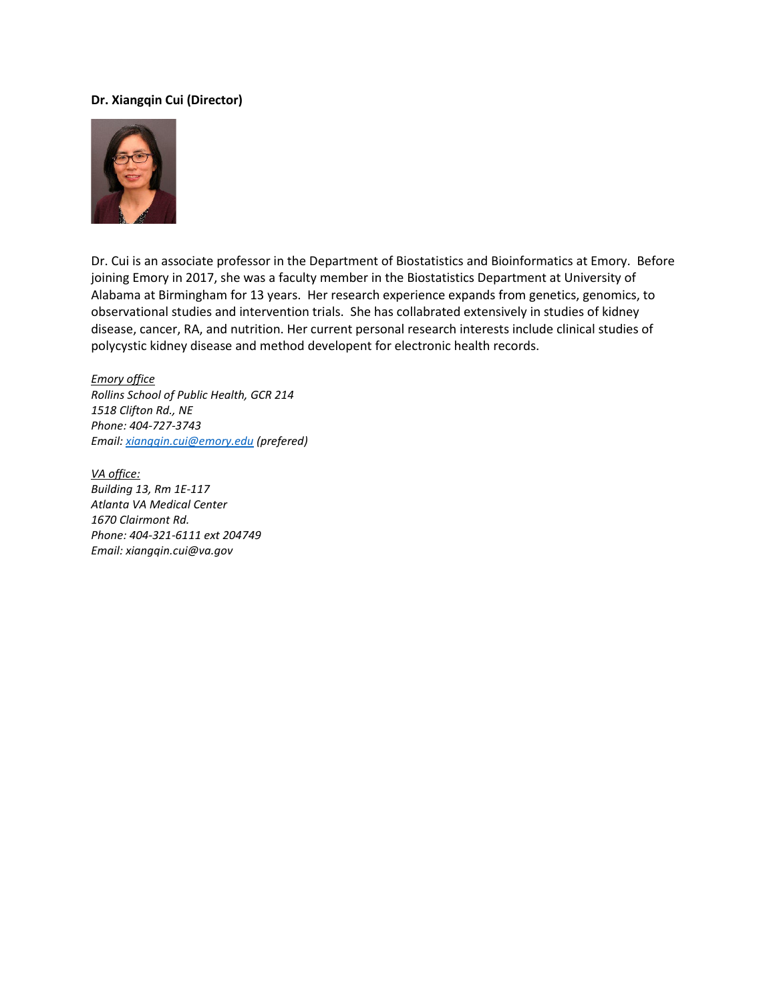## **Dr. Xiangqin Cui (Director)**



Dr. Cui is an associate professor in the Department of Biostatistics and Bioinformatics at Emory. Before joining Emory in 2017, she was a faculty member in the Biostatistics Department at University of Alabama at Birmingham for 13 years. Her research experience expands from genetics, genomics, to observational studies and intervention trials. She has collabrated extensively in studies of kidney disease, cancer, RA, and nutrition. Her current personal research interests include clinical studies of polycystic kidney disease and method developent for electronic health records.

*Emory office Rollins School of Public Health, GCR 214 1518 Clifton Rd., NE Phone: 404-727-3743 Email[: xiangqin.cui@emory.edu](mailto:xiangqin.cui@emory.edu) (prefered)*

*VA office: Building 13, Rm 1E-117 Atlanta VA Medical Center 1670 Clairmont Rd. Phone: 404-321-6111 ext 204749 Email: xiangqin.cui@va.gov*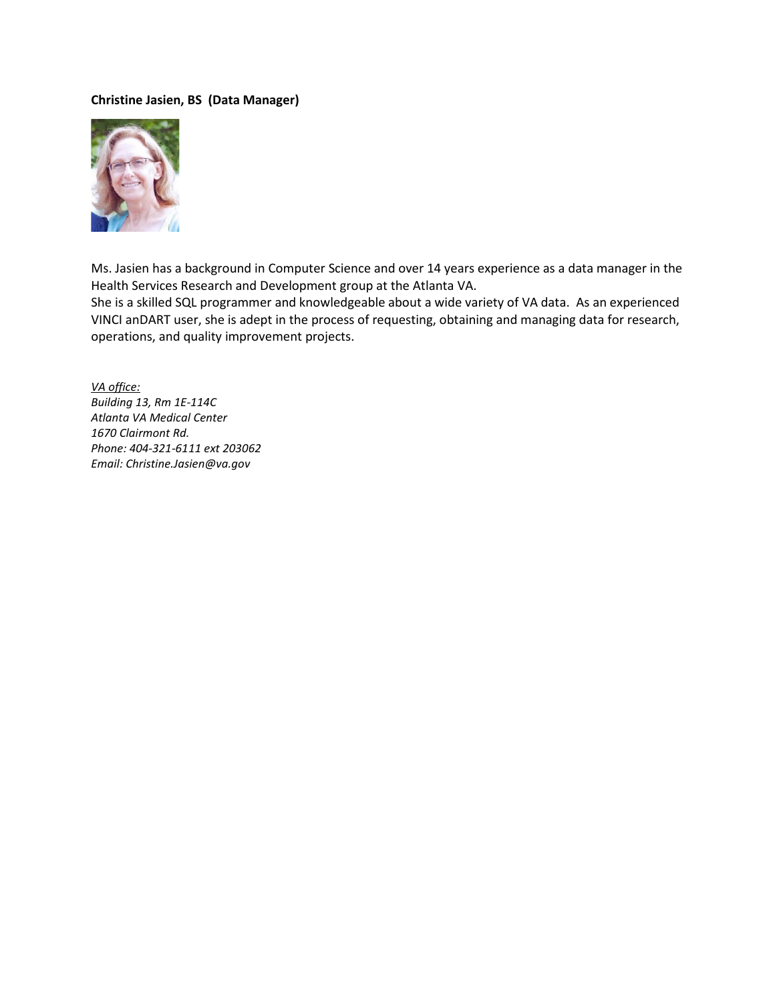## **Christine Jasien, BS (Data Manager)**



Ms. Jasien has a background in Computer Science and over 14 years experience as a data manager in the Health Services Research and Development group at the Atlanta VA.

She is a skilled SQL programmer and knowledgeable about a wide variety of VA data. As an experienced VINCI anDART user, she is adept in the process of requesting, obtaining and managing data for research, operations, and quality improvement projects.

*VA office: Building 13, Rm 1E-114C Atlanta VA Medical Center 1670 Clairmont Rd. Phone: 404-321-6111 ext 203062 Email: Christine.Jasien@va.gov*